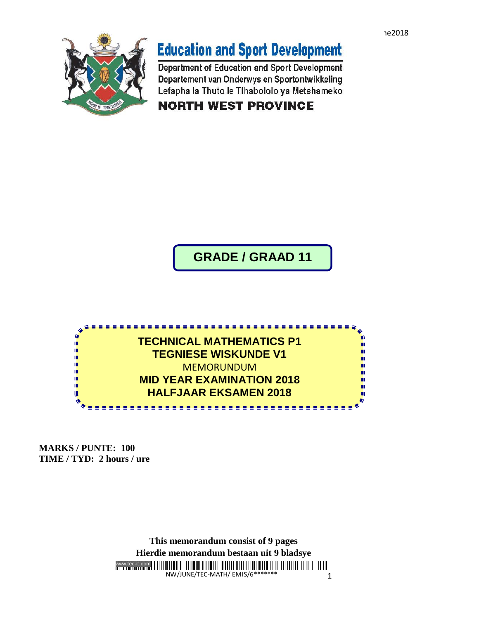

## **Education and Sport Development**

Department of Education and Sport Development Departement van Onderwys en Sportontwikkeling Lefapha la Thuto le Tihabololo ya Metshameko

**NORTH WEST PROVINCE** 

**GRADE / GRAAD 11**



ggraa

**MARKS / PUNTE: 100 TIME / TYD: 2 hours / ure** 

> www.tec-it.com NW/JUNE/TEC-MATH/ EMIS/6\*\* 1 **This memorandum consist of 9 pages Hierdie memorandum bestaan uit 9 bladsye**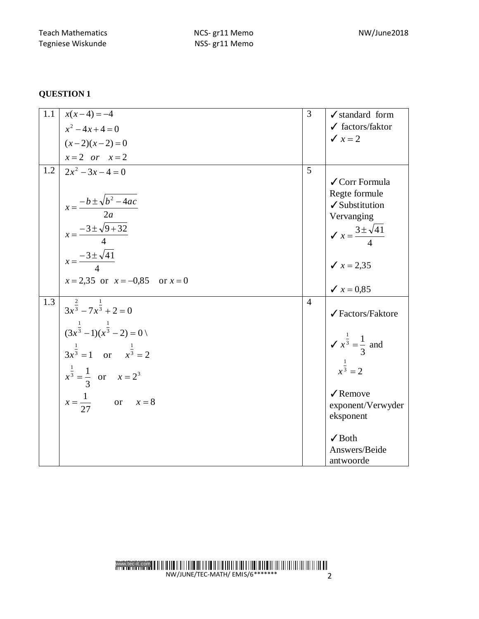## **QUESTION 1**

| 1.1 | $x(x-4) = -4$                                                                                                                                                                                                                    | 3              | $\checkmark$ standard form                                                                                                                                                  |
|-----|----------------------------------------------------------------------------------------------------------------------------------------------------------------------------------------------------------------------------------|----------------|-----------------------------------------------------------------------------------------------------------------------------------------------------------------------------|
|     | $x^2-4x+4=0$                                                                                                                                                                                                                     |                | $\checkmark$ factors/faktor                                                                                                                                                 |
|     | $(x-2)(x-2)=0$                                                                                                                                                                                                                   |                | $\sqrt{x} = 2$                                                                                                                                                              |
|     | $x=2$ or $x=2$                                                                                                                                                                                                                   |                |                                                                                                                                                                             |
| 1.2 | $2x^2-3x-4=0$<br>$x = \frac{-b \pm \sqrt{b^2 - 4ac}}{2a}$<br>$x = \frac{-3 \pm \sqrt{9 + 32}}{4}$<br>$x = \frac{-3 \pm \sqrt{41}}{4}$                                                                                            | 5              | ✔ Corr Formula<br>Regte formule<br>✔ Substitution<br>Vervanging<br>$\sqrt{x} = \frac{3 \pm \sqrt{41}}{4}$<br>$x = 2,35$                                                     |
|     | $x = 2,35$ or $x = -0,85$ or $x = 0$                                                                                                                                                                                             |                | $x = 0.85$                                                                                                                                                                  |
| 1.3 | $3x^{\frac{2}{3}} - 7x^{\frac{1}{3}} + 2 = 0$<br>$(3x^{\frac{1}{3}}-1)(x^{\frac{1}{3}}-2)=0$<br>$3x^{\frac{1}{3}} = 1$ or $x^{\frac{1}{3}} = 2$<br>$x^{\frac{1}{3}} = \frac{1}{3}$ or $x = 2^3$<br>$x = \frac{1}{27}$ or $x = 8$ | $\overline{4}$ | √Factors/Faktore<br>$\sqrt{x^{\frac{1}{3}}} = \frac{1}{3}$ and<br>$x^{\frac{1}{3}} = 2$<br>$\sqrt{\text{Remove}}$<br>exponent/Verwyder<br>eksponent<br>$\sqrt{\text{Both}}$ |
|     |                                                                                                                                                                                                                                  |                | Answers/Beide<br>antwoorde                                                                                                                                                  |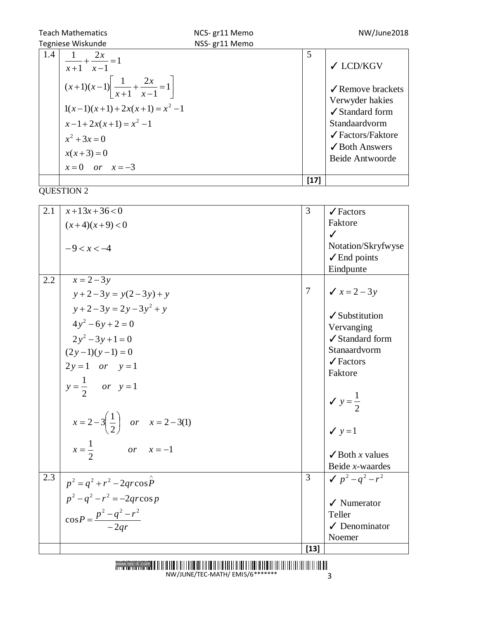| <b>Teach Mathematics</b><br>NCS-gr11 Memo |                                                                                                                                                                                    |        | NW/June2018                                                                                                                                                                                             |
|-------------------------------------------|------------------------------------------------------------------------------------------------------------------------------------------------------------------------------------|--------|---------------------------------------------------------------------------------------------------------------------------------------------------------------------------------------------------------|
| Tegniese Wiskunde                         | NSS- gr11 Memo                                                                                                                                                                     |        |                                                                                                                                                                                                         |
| 1.4<br>$x^2 + 3x = 0$<br>$x(x+3)=0$       | $\frac{1}{x+1} + \frac{2x}{x-1} = 1$<br>$(x+1)(x-1)\left[\frac{1}{x+1} + \frac{2x}{x-1} = 1\right]$<br>$1(x-1)(x+1) + 2x(x+1) = x^2 - 1$<br>$x-1+2x(x+1)=x^2-1$<br>$x=0$ or $x=-3$ | 5      | $\checkmark$ LCD/KGV<br>$\sqrt{\ }$ Remove brackets<br>Verwyder hakies<br>$\angle$ Standard form<br>Standaardvorm<br>$\sqrt{\text{Factors/Faktore}}$<br>$\sqrt{\text{Both Answers}}$<br>Beide Antwoorde |
|                                           |                                                                                                                                                                                    | $[17]$ |                                                                                                                                                                                                         |

 $\frac{1}{\text{QUESTION 2}}$ 

| 2.1 | $x+13x+36<0$                                      | 3               | $\sqrt{\text{Factors}}$       |
|-----|---------------------------------------------------|-----------------|-------------------------------|
|     | $(x+4)(x+9) < 0$                                  |                 | Faktore                       |
|     |                                                   |                 | $\checkmark$                  |
|     | $-9 < x < -4$                                     |                 | Notation/Skryfwyse            |
|     |                                                   |                 | $\checkmark$ End points       |
|     |                                                   |                 | Eindpunte                     |
| 2.2 | $x=2-3y$                                          |                 |                               |
|     | $y+2-3y = y(2-3y) + y$                            | $7\phantom{.0}$ | $x = 2 - 3y$                  |
|     | $y + 2 - 3y = 2y - 3y^2 + y$                      |                 |                               |
|     | $4y^2-6y+2=0$                                     |                 | $\checkmark$ Substitution     |
|     |                                                   |                 | Vervanging<br>✔ Standard form |
|     | $2y^2-3y+1=0$                                     |                 | Stanaardvorm                  |
|     | $(2y-1)(y-1) = 0$                                 |                 | $\sqrt{\text{Factors}}$       |
|     | $2y=1$ or $y=1$                                   |                 | Faktore                       |
|     | $y = \frac{1}{2}$ or $y = 1$                      |                 |                               |
|     |                                                   |                 |                               |
|     |                                                   |                 | $y = \frac{1}{2}$             |
|     | $x = 2-3\left(\frac{1}{2}\right)$ or $x = 2-3(1)$ |                 |                               |
|     |                                                   |                 | $y = 1$                       |
|     | $x = \frac{1}{2}$ or $x = -1$                     |                 |                               |
|     |                                                   |                 | $\checkmark$ Both x values    |
|     |                                                   |                 | Beide x-waardes               |
| 2.3 | $p^2 = q^2 + r^2 - 2qrcos\hat{P}$                 | 3               | $\sqrt{p^2-q^2-r^2}$          |
|     | $p^{2} - q^{2} - r^{2} = -2q r \cos p$            |                 | $\checkmark$ Numerator        |
|     |                                                   |                 | Teller                        |
|     | $\cos P = \frac{p^2 - q^2 - r^2}{-2qr}$           |                 | $\sqrt{}$ Denominator         |
|     |                                                   |                 | Noemer                        |
|     |                                                   | $[13]$          |                               |
|     |                                                   |                 |                               |

NW/JUNE/TEC-MATH/ EMIS/6\*\*\*\*\*\*\* 3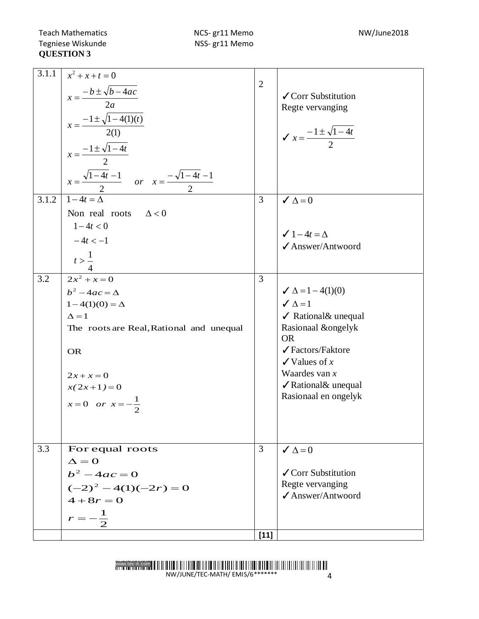Teach Mathematics **NCS- gr11 Memo** NCS- and MW/June2018 Tegniese Wiskunde NSS- gr11 Memo NW/June2018 Tegniese Wiskunde **QUESTION 3**

| 3.1.1<br>3.1.2 | $x^2 + x + t = 0$<br>$x = \frac{-b \pm \sqrt{b - 4ac}}{2a}$<br>$x = \frac{-1 \pm \sqrt{1 - 4(1)(t)}}{2(1)}$<br>$x = \frac{-1 \pm \sqrt{1 - 4t}}{2}$<br>$x = \frac{\sqrt{1-4t}-1}{2}$ or $x = \frac{-\sqrt{1-4t}-1}{2}$<br>$1-4t = \Delta$<br>Non real roots $\Delta < 0$ | $\overline{2}$<br>$\overline{3}$ | ✔ Corr Substitution<br>Regte vervanging<br>$\chi = \frac{-1 \pm \sqrt{1-4t}}{2}$<br>$\checkmark$ $\Delta = 0$ |
|----------------|--------------------------------------------------------------------------------------------------------------------------------------------------------------------------------------------------------------------------------------------------------------------------|----------------------------------|---------------------------------------------------------------------------------------------------------------|
|                | $1 - 4t < 0$                                                                                                                                                                                                                                                             |                                  | $\checkmark$ 1 – 4t = $\Delta$                                                                                |
|                | $-4t < -1$                                                                                                                                                                                                                                                               |                                  | ✔ Answer/Antwoord                                                                                             |
|                | $\frac{t}{4} > \frac{1}{4}$                                                                                                                                                                                                                                              |                                  |                                                                                                               |
| 3.2            | $2x^2 + x = 0$                                                                                                                                                                                                                                                           | 3                                |                                                                                                               |
|                | $b^2-4ac=\Delta$                                                                                                                                                                                                                                                         |                                  | $\angle \Delta = 1 - 4(1)(0)$                                                                                 |
|                | $1-4(1)(0) = \Delta$                                                                                                                                                                                                                                                     |                                  | $\angle \Delta = 1$                                                                                           |
|                | $\Lambda = 1$                                                                                                                                                                                                                                                            |                                  | $\checkmark$ Rational & unequal                                                                               |
|                | The roots are Real, Rational and unequal                                                                                                                                                                                                                                 |                                  | Rasionaal &ongelyk<br><b>OR</b>                                                                               |
|                | <b>OR</b>                                                                                                                                                                                                                                                                |                                  | ✔ Factors/Faktore<br>$\checkmark$ Values of x                                                                 |
|                | $2x + x = 0$                                                                                                                                                                                                                                                             |                                  | Waardes van $x$                                                                                               |
|                | $x(2x+1)=0$                                                                                                                                                                                                                                                              |                                  | ✔ Rational& unequal                                                                                           |
|                | $x=0$ or $x=-\frac{1}{2}$                                                                                                                                                                                                                                                |                                  | Rasionaal en ongelyk                                                                                          |
|                |                                                                                                                                                                                                                                                                          |                                  |                                                                                                               |
| 3.3            | For equal roots<br>$\Delta = 0$                                                                                                                                                                                                                                          | 3                                | $\checkmark$ $\Delta = 0$                                                                                     |
|                | $b^2 - 4ac = 0$                                                                                                                                                                                                                                                          |                                  | ✔ Corr Substitution                                                                                           |
|                |                                                                                                                                                                                                                                                                          |                                  | Regte vervanging                                                                                              |
|                | $(-2)^{2} - 4(1)(-2r) = 0$<br>$4+8r=0$                                                                                                                                                                                                                                   |                                  | ✔ Answer/Antwoord                                                                                             |
|                | $\mathbf{1}$                                                                                                                                                                                                                                                             |                                  |                                                                                                               |
|                |                                                                                                                                                                                                                                                                          |                                  |                                                                                                               |
|                |                                                                                                                                                                                                                                                                          | $[11]$                           |                                                                                                               |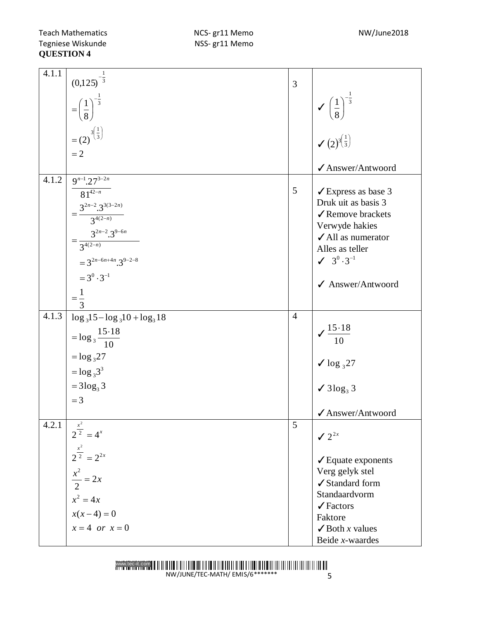Teach Mathematics **NCS- gr11 Memo** NCS- and MW/June2018 Tegniese Wiskunde NSS- gr11 Memo NW/June2018 Tegniese Wiskunde **QUESTION 4**

| 4.1.1 |                                                |                |                                                                                              |
|-------|------------------------------------------------|----------------|----------------------------------------------------------------------------------------------|
|       | $(0,125)^{-\frac{1}{3}}$                       | 3              |                                                                                              |
|       | $=\left(\frac{1}{8}\right)^{-\frac{1}{3}}$     |                | $\sqrt{\left(\frac{1}{8}\right)^{-\frac{1}{3}}}$<br>$\sqrt{(2)^{3}\left(\frac{1}{3}\right)}$ |
|       | $=(2)^{3(\frac{1}{3})}$<br>$=2$                |                |                                                                                              |
|       |                                                |                | ✔ Answer/Antwoord                                                                            |
| 4.1.2 | $9^{n-1}$ .27 <sup>3-2n</sup>                  |                |                                                                                              |
|       | $81^{42-n}$                                    | 5              | $\checkmark$ Express as base 3                                                               |
|       |                                                |                | Druk uit as basis 3                                                                          |
|       | $=\frac{3^{2n-2}\cdot3^{3(3-2n)}}{3^{4(2-n)}}$ |                | √ Remove brackets<br>Verwyde hakies                                                          |
|       | $=\frac{3^{2n-2}\cdot3^{9-6n}}{3^{4(2-n)}}$    |                | $\checkmark$ All as numerator                                                                |
|       |                                                |                | Alles as teller                                                                              |
|       | $=3^{2n-6n+4n}.3^{9-2-8}$                      |                | $\sqrt{3^0 \cdot 3^{-1}}$                                                                    |
|       | $=3^{0}\cdot3^{-1}$                            |                | ✔ Answer/Antwoord                                                                            |
|       | $=\frac{1}{3}$                                 |                |                                                                                              |
|       |                                                |                |                                                                                              |
| 4.1.3 | $\log_3 15 - \log_3 10 + \log_3 18$            | $\overline{4}$ |                                                                                              |
|       | $=$ $\log_3 \frac{15.18}{10}$                  |                | $\sqrt{\frac{15.18}{10}}$                                                                    |
|       | $=$ $\log_3 27$                                |                | $\sqrt{\log_3 27}$                                                                           |
|       | $=$ $\log_3 3^3$                               |                |                                                                                              |
|       | $= 3 \log_3 3$                                 |                | $\checkmark$ 3log <sub>3</sub> 3                                                             |
|       | $=$ 3                                          |                |                                                                                              |
|       |                                                |                | ✔ Answer/Antwoord                                                                            |
| 4.2.1 | $2^{\frac{x^2}{2}} = 4^x$                      | 5              | $\sqrt{2^{2x}}$                                                                              |
|       | $2^{\frac{x^2}{2}} = 2^{2x}$                   |                | $\checkmark$ Equate exponents                                                                |
|       |                                                |                | Verg gelyk stel                                                                              |
|       | $\frac{x^2}{2} = 2x$                           |                | ✔ Standard form                                                                              |
|       | $x^2 = 4x$                                     |                | Standaardvorm                                                                                |
|       |                                                |                | $\sqrt{\text{Factors}}$                                                                      |
|       | $x(x-4) = 0$                                   |                | Faktore                                                                                      |
|       | $x=4$ or $x=0$                                 |                | $\checkmark$ Both <i>x</i> values                                                            |
|       |                                                |                | Beide x-waardes                                                                              |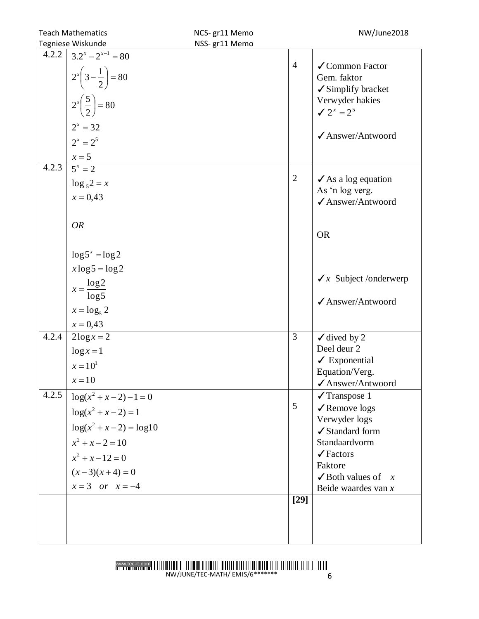| <b>Teach Mathematics</b> |                                                                                                                                         | NCS-gr11 Memo  |                | NW/June2018                                                                                                                              |
|--------------------------|-----------------------------------------------------------------------------------------------------------------------------------------|----------------|----------------|------------------------------------------------------------------------------------------------------------------------------------------|
| Tegniese Wiskunde        |                                                                                                                                         | NSS- gr11 Memo |                |                                                                                                                                          |
| 4.2.2                    | $3.2^{x} - 2^{x-1} = 80$<br>$2^{x}\left(3-\frac{1}{2}\right)=80$<br>$2^x\left(\frac{5}{2}\right) = 80$<br>$2^x = 32$<br>$2^{x} = 2^{5}$ |                | $\overline{4}$ | $\checkmark$ Common Factor<br>Gem. faktor<br>$\checkmark$ Simplify bracket<br>Verwyder hakies<br>$\angle 2^x = 2^5$<br>✔ Answer/Antwoord |
| 4.2.3                    | $\frac{x=5}{5^x=2}$                                                                                                                     |                |                |                                                                                                                                          |
|                          | $\log_5 2 = x$<br>$x = 0.43$                                                                                                            |                | $\overline{2}$ | $\angle$ As a log equation<br>As 'n log verg.<br>✔ Answer/Antwoord                                                                       |
|                          | <b>OR</b>                                                                                                                               |                |                | <b>OR</b>                                                                                                                                |
|                          | $\log 5^x = \log 2$                                                                                                                     |                |                |                                                                                                                                          |
|                          | $x \log 5 = \log 2$                                                                                                                     |                |                |                                                                                                                                          |
|                          |                                                                                                                                         |                |                | $\sqrt{x}$ Subject /onderwerp                                                                                                            |
|                          | $x = \frac{\log 2}{\log 5}$                                                                                                             |                |                |                                                                                                                                          |
|                          | $x = \log_5 2$                                                                                                                          |                |                | ✔ Answer/Antwoord                                                                                                                        |
|                          | $x = 0.43$                                                                                                                              |                |                |                                                                                                                                          |
| 4.2.4                    | $2\log x = 2$                                                                                                                           |                | 3              | $\checkmark$ dived by 2                                                                                                                  |
|                          | $\log x = 1$                                                                                                                            |                |                | Deel deur 2                                                                                                                              |
|                          | $x = 10^1$                                                                                                                              |                |                | $\angle$ Exponential                                                                                                                     |
|                          | $x=10$                                                                                                                                  |                |                | Equation/Verg.                                                                                                                           |
| 4.2.5                    |                                                                                                                                         |                |                | ✔ Answer/Antwoord                                                                                                                        |
|                          | $\log(x^2 + x - 2) - 1 = 0$                                                                                                             |                | 5              | $\sqrt{T}$ ranspose 1<br>✔ Remove logs                                                                                                   |
|                          | $log(x^2 + x - 2) = 1$                                                                                                                  |                |                | Verwyder logs                                                                                                                            |
|                          | $log(x^2 + x - 2) = log10$                                                                                                              |                |                | ✔ Standard form                                                                                                                          |
|                          | $x^2 + x - 2 = 10$                                                                                                                      |                |                | Standaardvorm                                                                                                                            |
|                          | $x^2 + x - 12 = 0$                                                                                                                      |                |                | $\sqrt{\text{Factors}}$                                                                                                                  |
|                          | $(x-3)(x+4) = 0$                                                                                                                        |                |                | Faktore<br>$\checkmark$ Both values of<br>$\mathcal{X}$                                                                                  |
|                          | $x = 3$ or $x = -4$                                                                                                                     |                |                | Beide waardes van $x$                                                                                                                    |
|                          |                                                                                                                                         |                | $[29]$         |                                                                                                                                          |
|                          |                                                                                                                                         |                |                |                                                                                                                                          |
|                          |                                                                                                                                         |                |                |                                                                                                                                          |
|                          |                                                                                                                                         |                |                |                                                                                                                                          |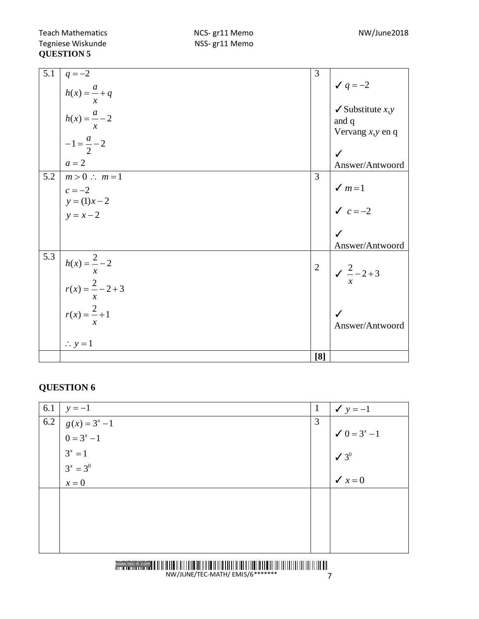|     |                                                                                      | [8]            |                                             |
|-----|--------------------------------------------------------------------------------------|----------------|---------------------------------------------|
|     | $\therefore$ y = 1                                                                   |                |                                             |
|     |                                                                                      |                | Answer/Antwoord                             |
|     |                                                                                      |                | $\checkmark$                                |
|     |                                                                                      |                |                                             |
|     |                                                                                      |                | $\frac{2}{x}-2+3$                           |
| 5.3 | $h(x) = \frac{2}{x} - 2$<br>$r(x) = \frac{2}{x} - 2 + 3$<br>$r(x) = \frac{2}{x} + 1$ | $\overline{2}$ |                                             |
|     |                                                                                      |                | Answer/Antwoord                             |
|     |                                                                                      |                |                                             |
|     | $y = x - 2$                                                                          |                |                                             |
|     | $y = (1)x - 2$                                                                       |                | $\sqrt{c} = -2$                             |
|     | $c = -2$                                                                             |                | $\sqrt{m}$ =1                               |
| 5.2 | $a=2$<br>$m>0$ : $m=1$                                                               | 3              | Answer/Antwoord                             |
|     |                                                                                      |                | $\checkmark$                                |
|     | $-1 = \frac{a}{2} - 2$                                                               |                | Vervang $x, y$ en q                         |
|     | $h(x) = \frac{a}{x} + q$<br>$h(x) = \frac{a}{x} - 2$                                 |                | and q                                       |
|     |                                                                                      |                | $\checkmark$ Substitute <i>x</i> , <i>y</i> |
|     |                                                                                      |                | $\check{q} = -2$                            |
| 5.1 | $q = -2$                                                                             | 3              |                                             |

## **QUESTION 6**

| 6.1 | $y = -1$         | $\mathbf{1}$ | $y = -1$                           |
|-----|------------------|--------------|------------------------------------|
| 6.2 | $g(x) = 3^x - 1$ | 3            |                                    |
|     | $0 = 3^x - 1$    |              | $\checkmark$ 0 = 3 <sup>x</sup> -1 |
|     | $3^x = 1$        |              | $\sqrt{3}$ <sup>0</sup>            |
|     | $3^x = 3^0$      |              |                                    |
|     | $x=0$            |              | $\checkmark$ $x=0$                 |
|     |                  |              |                                    |
|     |                  |              |                                    |
|     |                  |              |                                    |
|     |                  |              |                                    |
|     |                  |              |                                    |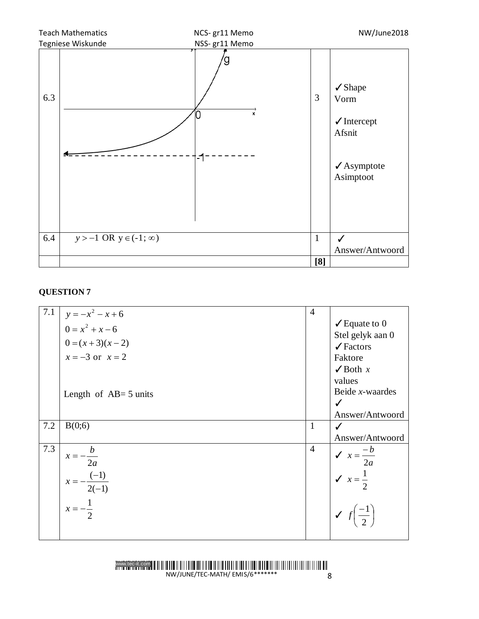

## **QUESTION 7**

|     | 7.1 $\Big  y = -x^2 - x + 6$ | $\overline{4}$ |                                          |
|-----|------------------------------|----------------|------------------------------------------|
|     | $0 = x^2 + x - 6$            |                | $\checkmark$ Equate to 0                 |
|     | $0 = (x + 3)(x - 2)$         |                | Stel gelyk aan 0                         |
|     |                              |                | $\sqrt{\text{Factors}}$                  |
|     | $x = -3$ or $x = 2$          |                | Faktore                                  |
|     |                              |                | $\checkmark$ Both x                      |
|     |                              |                | values                                   |
|     | Length of $AB = 5$ units     |                | Beide $x$ -waardes                       |
|     |                              |                | $\checkmark$                             |
|     |                              |                | Answer/Antwoord                          |
| 7.2 | B(0;6)                       | $\mathbf{1}$   | ✓                                        |
|     |                              |                | Answer/Antwoord                          |
| 7.3 | $x=-\frac{b}{x}$             | $\overline{4}$ |                                          |
|     | 2a                           |                | $x = \frac{-b}{2a}$<br>$x = \frac{1}{2}$ |
|     |                              |                |                                          |
|     | $x = -\frac{(-1)}{2(-1)}$    |                |                                          |
|     |                              |                |                                          |
|     | $x=-\frac{1}{2}$             |                |                                          |
|     |                              |                | $\bigvee f\left(\frac{-1}{2}\right)$     |
|     |                              |                |                                          |
|     |                              |                |                                          |